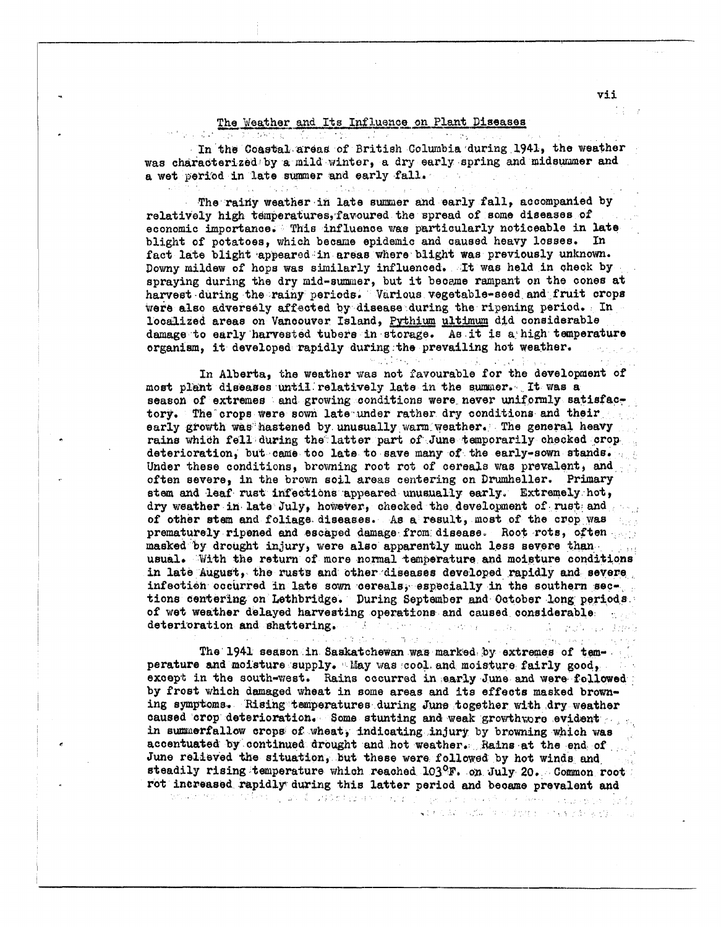## The Weather and Its Influence on Plant Diseases  $\mathcal{L} = \{ \mathcal{L} \mid \mathcal{L} \in \mathcal{L} \}$

1009年12月

大学 (学)の

A.

 $\sim 10^{-1}$ 

In the Coastal areas of British Columbia during 1941, the weather was characterized by a mild winter, a dry early spring and midsummer and a wet period in late summer and early fall.

The rainy weather in late summer and early fall, accompanied by relatively high temperatures, favoured the spread of some diseases of economic importance. This influence was particularly noticeable in late blight of potatoes, which became epidemic and caused heavy losses. In fact late blight appeared in areas where blight was previously unknown. Downy mildew of hops was similarly influenced. It was held in check by spraying during the dry mid-summer, but it became rampant on the cones at harvest during the rainy periods. Various vegetable-seed and fruit crops were also adversely affected by disease during the ripening period. In localized areas on Vancouver Island, Pythium ultimum did considerable damage to early harvested tubers in storage. As it is a high temperature organism, it developed rapidly during the prevailing hot weather.

In Alberta, the weather was not favourable for the development of most plant diseases until relatively late in the summer. It was a season of extremes and growing conditions were never uniformly satisfactory. The crops were sown late under rather dry conditions and their early growth was hastened by unusually warm weather. The general heavy rains which fell during the latter part of June temporarily checked crop deterioration, but came too late to save many of the early-sown stands. Under these conditions, browning root rot of cereals was prevalent, and often severe, in the brown soil areas centering on Drumheller. Primary stem and leaf rust infections appeared unusually early. Extremely hot, dry weather in late July, however, checked the development of rust and of other stem and foliage diseases. As a result, most of the crop was prematurely ripened and escaped damage from disease. Root rots, often masked by drought injury, were also apparently much less severe than lista. usual. With the return of more normal temperature and moisture conditions in late August, the rusts and other diseases developed rapidly and severe infection occurred in late sown cereals, especially in the southern sections centering on Lethbridge. During September and October long periods. of wet weather delayed harvesting operations and caused considerable deterioration and shattering.  $\mathbb{Z}(\mathfrak{g})$ André Partie de la Propincia de la Caracción

The 1941 season in Saskatchewan was marked by extremes of temperature and moisture supply. May was cool and moisture fairly good, except in the south-west. Rains occurred in early June and were followed: by frost which damaged wheat in some areas and its effects masked browning symptoms. Rising temperatures during June together with dry weather caused crop deterioration. Some stunting and weak growth cre evident in summerfallow crops of wheat, indicating injury by browning which was accentuated by continued drought and hot weather. Rains at the end of June relieved the situation, but these were followed by hot winds and steadily rising temperature which reached 103ºF. on July 20. Common root rot increased rapidly during this latter period and became prevalent and tet av teten en tidera og utvill utførder eller har polykolomene en er hello og ble per sig.

(4) 大人 AV、小武队 (中国大学协会) - いちょうとか (4) (字) -

in the plan of modeling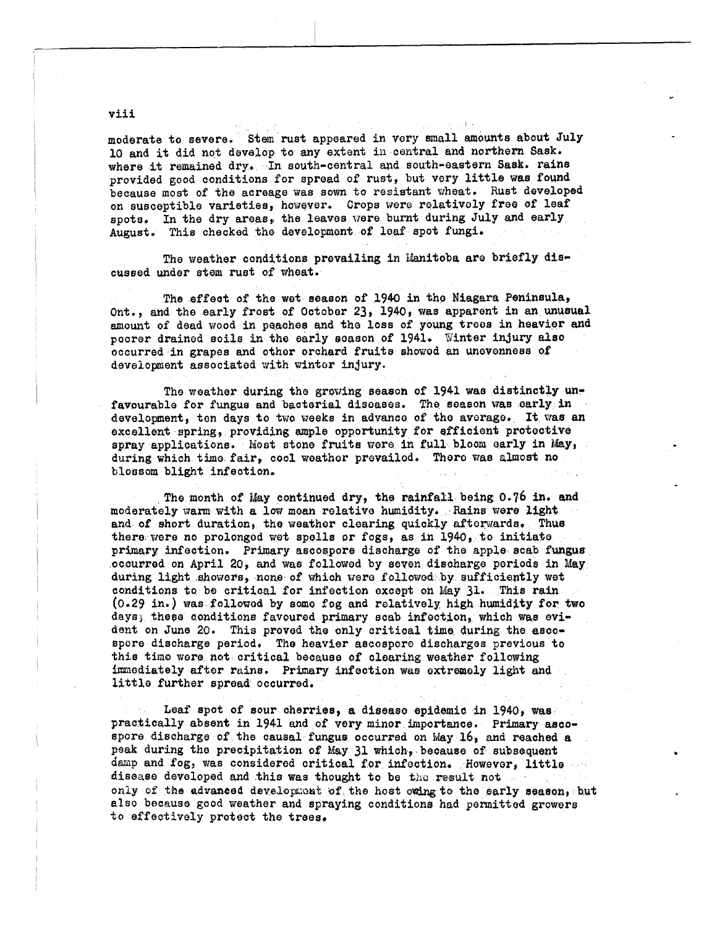moderate to severe. Stem rust appeared in very small amounts about July 10 and it did not develop to any extent in central and northern Sask. where it remained dry. In south-central and south-eastern Sask. rains provided good conditions for spread of rust, but very little was found because most of the acreage was sown to resistant wheat. Rust developed on susceptible varieties, however. Crops were relatively free of leaf spots. In the dry areas, the leaves were burnt during July and early August. This checked the development of leaf spot fungi.

The weather conditions prevailing in Manitoba are briefly discussed under stem rust of wheat.

The effect of the wet season of 1940 in the Niagara Peninsula, Ont., and the early frost of October 23, 1940, was apparent in an unusual amount of dead wood in peaches and the loss of young trees in heavier and poorer drained soils in the early season of 1941. Winter injury also occurred in grapes and other orchard fruits showed an unevenness of development associated with winter injury.

The weather during the growing season of 1941 was distinctly unfavourable for fungus and bacterial diseases. The season was early in development, ten days to two weeks in advance of the average. It was an excellent spring, providing ample opportunity for efficient protective spray applications. Most stone fruits were in full bloom early in May, during which time fair, cool weather prevailed. There was almost no blossom blight infection.

The month of May continued dry, the rainfall being 0.76 in. and moderately warm with a low mean relative humidity. Rains were light and of short duration, the weather clearing quickly afterwards. Thus there were no prolonged wet spells or fogs, as in 1940, to initiate primary infection. Primary ascospore discharge of the apple scab fungus occurred on April 20, and was followed by seven discharge periods in May during light showers, none of which were followed by sufficiently wet conditions to be critical for infection except on May 31. This rain (0.29 in.) was followed by some fog and relatively high humidity for two days; these conditions favoured primary scab infection, which was evident on June 20. This proved the only critical time during the ascospore discharge period. The heavier ascospore discharges previous to this time were not critical because of clearing weather following immediately after rains. Primary infection was extremely light and little further spread occurred.

Leaf spot of sour cherries, a disease epidemic in 1940, was practically absent in 1941 and of very minor importance. Primary ascospore discharge of the causal fungus occurred on May 16, and reached a peak during the precipitation of May 31 which, because of subsequent damp and fog, was considered critical for infection. However, little disease developed and this was thought to be the result not only of the advanced development of the host owing to the early season, but also because good weather and spraying conditions had permitted growers to effectively protect the trees.

viii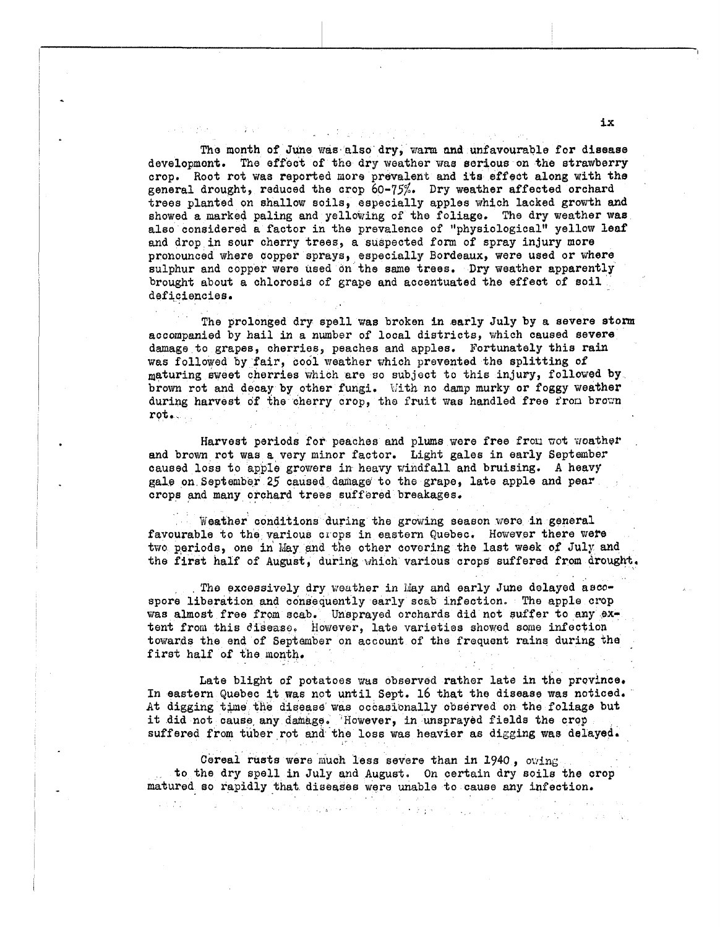Tho month of June was. also dry, warn **nnd** unfavoumble for disease developmont. The sffoct of dho dry weather **vine** sorious on the strawberry crop. Root rot was reported more prevalent and its effect along with the orop. Root rot was reported more prevalent and its effect along with the general drought, reduced the crop 60-75%. Dry weather affected orchard trees planted on shallow soils, especially apples which lacked growth **and**  showed a marked paling and yellowing of the foliage. **The** dry weather **was**  also considered a factor in the prevalence of "physiological" yellow leaf and drop in sour cherry trees, a suspected form of spray injury more pronounced where copper sprays, especially Bordeaux, were used or where sulphur and copper were **used** on the **same** trees. **Dry** weather apparently brought about a chlorosis of grape and accentuated the effect of soil deficiencies.

I.

The prolonged dry spell was broken in early July by a severe **storm**  accompanied by hail in a number of local districts, which caused severe damage to grapes, cherries, peaches and apples. Fortunately this rain **was** followed by fair, cool weather which prevented the splitting of maturing sweet cherries which are **so** subjoot to this injury, followed **by**  brown rot and decay **by** other fungi. L'ith no **damp** murky or foggy weather during harvest of the cherry crop, the fruit was handled free from brown rot,

Harvest periods for peaches and plums were free from wot woather **and** brown rot was a,vory minor factor. Light gales in early September caused loss to apple growers **in** heavy windfall and bruising. **A** heavy gale on September 25 caused damage to the grape. late apple and pear crops and many orchard trees suffored breakages.

Weather conditions during the growing season were in general favourable to the various clops **in** eastern Quebec, However there **viere**  two psariods, one in May and the other covering the last **wesk** of July **and**  the first half of August, during which various crops suffered **from drought,** 

. The excessively dry weather in May and early June delayed ascospore liberation **end** consequently early scab infection, Tho apple crop **was** almost free from scab. Unsprayed orchards did not suffer *Lo* **any** *8%*  tent from this *disease*. However, late varieties showed some infection towards the end of Ssptambor on account of the frequent rains during the firat half of the month.

Late blight of potatoes was observed rather late in the province. In eastern Qusbec it was not until Sept. 16 that the disease mas noticed. At digging time the disease was occasionally observed on the foliage but it did not cause any damage. However, in unsprayed fields the crop suffered from tuber rot and the loss was heavier as digging was delayed.

Cereal rusts were much less severe than in 1940, owing to the dry spell in July and August. On certain dry soils the crop **matured so** rapidly that diseases were unable to cau8e any infection.

**ix**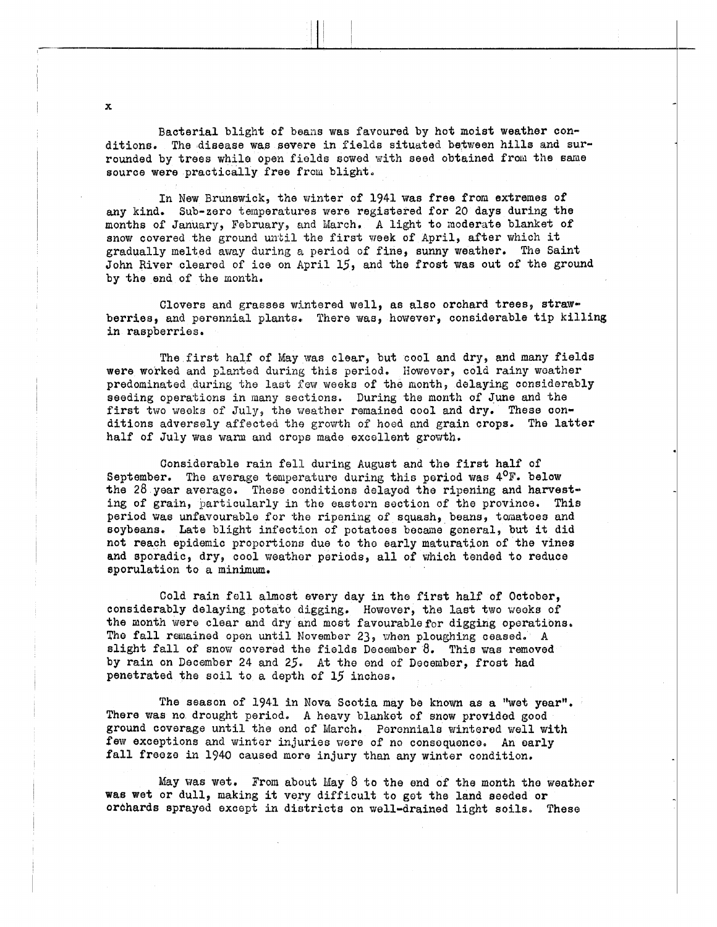Bacterial blight of beans was favoured by hot moist weather conditions. The disease was severe in fields situated between hills and surrounded by trees while open fields sowed with seed obtained from the same source were practically free from blight.

In **New** Brunswick, the winter of 1941 was free from extremes of any kind. Sub-zaro teinperatures were registered for 20 days during **the**  months of January, February, and March. A light to moderate blanket of snow covered the ground until the first week of April, after which it gradually melted away during a period of fine, sunny weather. The Saint John River cleared of ice on April **15,** and the frost was out of the ground by the end of the month,

Clovers and grasses wintered well, as also orchard trees, strawberries, and perennial plants., There **was,** however, considerable tip killing in raspberries.

The first half of May was clear, but cool and dry, and many fields were worked and planted during this period. However, cold rainy weather predominated during the last fow weeks of the month, delaying considerably seeding operations in many sections. During the month of June and the first two weeks of July, the weather remained cool and dry. These conditions adversely affected the growth of hoed and grain crops. The latter half of July was warn and crops made excellent growth.

Considerable rain fell during August and the first half of September. The average temperature during this period was  $4^{\circ}$ F. below the 28 year average. These conditions delayed the ripening and harvesting of grain, particularly in the eastern section of the province. This period was unfavourable for the ripening of squash, beans, tomatoes and soybeans. Late blight infection of potatoes became general, but it did not reach epidemic proportions due to tho early maturation of the vines and sporadic, dry, cool weather periods, all of which tended to reduce sporulation to a minimum.

Cold rain fell almost every day in the first half of October, considerably delaying potato digging. However, the last two weeks of the month were clear and dry and most favourable for digging operations. The fall remained open until November 23, when ploughing ceased. A slight fall of snow covered the fields December 8. This was removed by rain on December 24 and 25. At the end of December, frost had penetrated the soil to a depth of 15 inchos,

The season of 1941 in Nova Scotia may be known as a "wet year". There was no drought period. A heavy blanket of snow provided good ground coverage until the end of March. Peronnials wintered well with few exceptions and winter injuries were of no consequence. An early fall freeze in 1940 caused more injury than any winter condition.

May was wet. From about May 8 to the end of the month tho **weather**  was wet or dull, making it very difficult to got the land seeded or orchards sprayed except in districts on well-drained light soils. These

**X**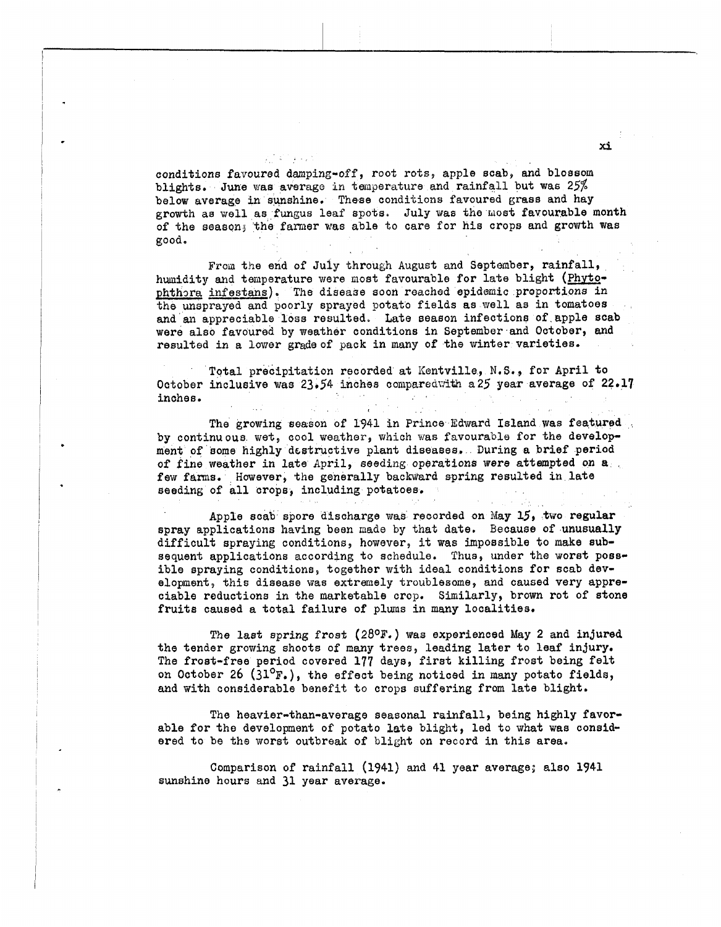conditions favoured damping-off, root rots, apple scab, and blossom blights. June was average in temperature and rainfall but was 25% below average in sunshine, These conditions favoured **grass** and hay growth as well as fungus leaf spots. July was the most favourable month of the season; the farmer was able to care for his crops and growth was **good,** 

From the end of July through August and September, rainfall, humidity and temperature were most favourable for late blight (Phytophthora infestans). The disease soon reached epidemic proportions in the unsprayed and poorly sprayod potato fields as well **as** in tomatoes and an appreciable loss resulted, Late season infection8 of apple scab were also favoured by weather conditions in September and October, and resulted in a lower gradeof pack in many of the winter varieties.

Total precipitation recorded at Kentville, N.S., for April to October inclusive was 23.54 inches compared with a25 year average of 22.17 inches.  $\sim 10^{-10}$  m  $^{-1}$ 

**The** growing wason of 1941 in Prince Edward Island was featured by continuous wet, cool weather, which was favourable for the develop ment of some highly dcstructive plant diseases. During a brief period **of** fine weather in late **April, seeding** operations were attsmpted on *a*  few farms. However, the generally backward spring resulted in late seeding of all crops, including potatoes.

, .

Apple scab spore discharge **was** recorded on May 15, two regular spray applications having been made by that date. Because of unusually difficult spraying conditions, however, it was impossible to make subsequent applications according to schedule. Thus, under the worst **poss**ible spraying conditions, together with ideal conditions for scab development, this disease **was** extremely troublesome, and caused very appreciable reductions in the marketahle crop. Similarly, brown rot of stone fruits caused a total failure of plwns in many localities.

The last spring froat **(28OF.)** was experienced May 2 and injured the tender growing shoots of many trees, leading later to leaf injury. The frost-free period covered 177 days, first killing frost being felt on October 26 (31°F.), the effect being noticed in many potato fields, and with considerable benefit to crops suffering from late blight.

The heavier-than-average seasonal rainfall, being highly favorable for the development of potato late blight, led to what was considered to bo the worst outbreak of blight on record in this area.

Comparison of rainfall (1941) and 41 year average; also 1941 sunshine hours and 31 year average.

**x5**